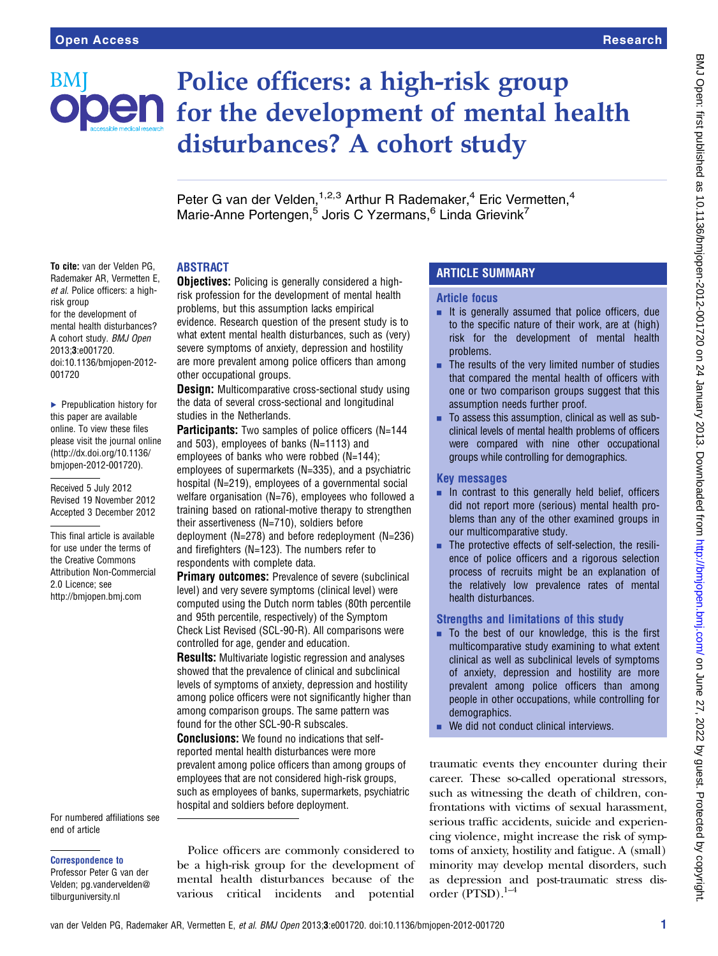BMI

# Police officers: a high-risk group **Den** for the development of mental health disturbances? A cohort study

Peter G van der Velden, <sup>1,2,3</sup> Arthur R Rademaker,<sup>4</sup> Eric Vermetten, <sup>4</sup> Marie-Anne Portengen,<sup>5</sup> Joris C Yzermans,<sup>6</sup> Linda Grievink<sup>7</sup>

## **ABSTRACT**

To cite: van der Velden PG, Rademaker AR, Vermetten E, et al. Police officers: a highrisk group for the development of mental health disturbances? A cohort study. BMJ Open 2013;3:e001720. doi:10.1136/bmjopen-2012- 001720

▶ Prepublication history for this paper are available online. To view these files please visit the journal online [\(http://dx.doi.org/10.1136/](http://dx.doi.org/10.1136/bmjopen-2012-001720) [bmjopen-2012-001720](http://dx.doi.org/10.1136/bmjopen-2012-001720)).

Received 5 July 2012 Revised 19 November 2012 Accepted 3 December 2012

This final article is available for use under the terms of the Creative Commons Attribution Non-Commercial 2.0 Licence; see <http://bmjopen.bmj.com>

#### For numbered affiliations see end of article

#### Correspondence to

Professor Peter G van der Velden; pg.vandervelden@ tilburguniversity.nl

**Objectives:** Policing is generally considered a highrisk profession for the development of mental health problems, but this assumption lacks empirical evidence. Research question of the present study is to what extent mental health disturbances, such as (very) severe symptoms of anxiety, depression and hostility are more prevalent among police officers than among other occupational groups.

**Design:** Multicomparative cross-sectional study using the data of several cross-sectional and longitudinal studies in the Netherlands.

**Participants:** Two samples of police officers (N=144) and 503), employees of banks (N=1113) and employees of banks who were robbed (N=144); employees of supermarkets (N=335), and a psychiatric hospital (N=219), employees of a governmental social welfare organisation (N=76), employees who followed a training based on rational-motive therapy to strengthen their assertiveness (N=710), soldiers before deployment (N=278) and before redeployment (N=236) and firefighters (N=123). The numbers refer to respondents with complete data.

Primary outcomes: Prevalence of severe (subclinical level) and very severe symptoms (clinical level) were computed using the Dutch norm tables (80th percentile and 95th percentile, respectively) of the Symptom Check List Revised (SCL-90-R). All comparisons were controlled for age, gender and education.

Results: Multivariate logistic regression and analyses showed that the prevalence of clinical and subclinical levels of symptoms of anxiety, depression and hostility among police officers were not significantly higher than among comparison groups. The same pattern was found for the other SCL-90-R subscales.

Conclusions: We found no indications that selfreported mental health disturbances were more prevalent among police officers than among groups of employees that are not considered high-risk groups, such as employees of banks, supermarkets, psychiatric hospital and soldiers before deployment.

Police officers are commonly considered to be a high-risk group for the development of mental health disturbances because of the various critical incidents and

# ARTICLE SUMMARY

#### Article focus

- $\blacksquare$  It is generally assumed that police officers, due to the specific nature of their work, are at (high) risk for the development of mental health problems.
- **The results of the very limited number of studies** that compared the mental health of officers with one or two comparison groups suggest that this assumption needs further proof.
- $\blacksquare$  To assess this assumption, clinical as well as subclinical levels of mental health problems of officers were compared with nine other occupational groups while controlling for demographics.

## Key messages

- $\blacksquare$  In contrast to this generally held belief, officers did not report more (serious) mental health problems than any of the other examined groups in our multicomparative study.
- **EXECUTE:** The protective effects of self-selection, the resilience of police officers and a rigorous selection process of recruits might be an explanation of the relatively low prevalence rates of mental health disturbances.

## Strengths and limitations of this study

- To the best of our knowledge, this is the first multicomparative study examining to what extent clinical as well as subclinical levels of symptoms of anxiety, depression and hostility are more prevalent among police officers than among people in other occupations, while controlling for demographics.
- We did not conduct clinical interviews.

traumatic events they encounter during their career. These so-called operational stressors, such as witnessing the death of children, confrontations with victims of sexual harassment, serious traffic accidents, suicide and experiencing violence, might increase the risk of symptoms of anxiety, hostility and fatigue. A (small) minority may develop mental disorders, such as depression and post-traumatic stress disorder  $(PTSD).^{1-4}$ 

van der Velden PG, Rademaker AR, Vermetten E, et al. BMJ Open 2013;3:e001720. doi:10.1136/bmjopen-2012-001720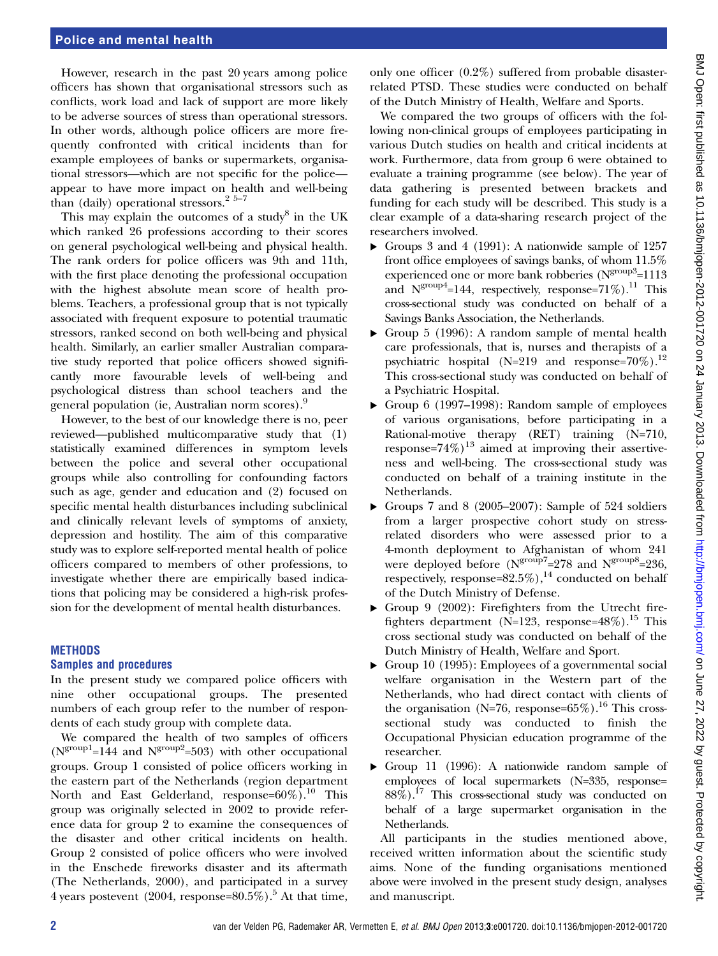# Police and mental health

However, research in the past 20 years among police officers has shown that organisational stressors such as conflicts, work load and lack of support are more likely to be adverse sources of stress than operational stressors. In other words, although police officers are more frequently confronted with critical incidents than for example employees of banks or supermarkets, organisational stressors—which are not specific for the police appear to have more impact on health and well-being than (daily) operational stressors.<sup>2</sup> <sup>5-7</sup>

This may explain the outcomes of a study<sup>8</sup> in the UK which ranked 26 professions according to their scores on general psychological well-being and physical health. The rank orders for police officers was 9th and 11th, with the first place denoting the professional occupation with the highest absolute mean score of health problems. Teachers, a professional group that is not typically associated with frequent exposure to potential traumatic stressors, ranked second on both well-being and physical health. Similarly, an earlier smaller Australian comparative study reported that police officers showed significantly more favourable levels of well-being and psychological distress than school teachers and the general population (ie, Australian norm scores).9

However, to the best of our knowledge there is no, peer reviewed—published multicomparative study that (1) statistically examined differences in symptom levels between the police and several other occupational groups while also controlling for confounding factors such as age, gender and education and (2) focused on specific mental health disturbances including subclinical and clinically relevant levels of symptoms of anxiety, depression and hostility. The aim of this comparative study was to explore self-reported mental health of police officers compared to members of other professions, to investigate whether there are empirically based indications that policing may be considered a high-risk profession for the development of mental health disturbances.

#### **METHODS**

#### Samples and procedures

In the present study we compared police officers with nine other occupational groups. The presented numbers of each group refer to the number of respondents of each study group with complete data.

We compared the health of two samples of officers  $(N^{\text{group1}}=144$  and  $N^{\text{group2}}=503)$  with other occupational groups. Group 1 consisted of police officers working in the eastern part of the Netherlands (region department North and East Gelderland, response= $60\%$ ).<sup>10</sup> This group was originally selected in 2002 to provide reference data for group 2 to examine the consequences of the disaster and other critical incidents on health. Group 2 consisted of police officers who were involved in the Enschede fireworks disaster and its aftermath (The Netherlands, 2000), and participated in a survey 4 years postevent (2004, response= $80.5\%$ ).<sup>5</sup> At that time,

only one officer (0.2%) suffered from probable disasterrelated PTSD. These studies were conducted on behalf of the Dutch Ministry of Health, Welfare and Sports.

We compared the two groups of officers with the following non-clinical groups of employees participating in various Dutch studies on health and critical incidents at work. Furthermore, data from group 6 were obtained to evaluate a training programme (see below). The year of data gathering is presented between brackets and funding for each study will be described. This study is a clear example of a data-sharing research project of the researchers involved.

- ▸ Groups 3 and 4 (1991): A nationwide sample of 1257 front office employees of savings banks, of whom 11.5% experienced one or more bank robberies (Ngroup<sup>3</sup>=1113 and  $N^{\text{group4}}=144$ , respectively, response=71%).<sup>11</sup> This cross-sectional study was conducted on behalf of a Savings Banks Association, the Netherlands.
- ▸ Group 5 (1996): A random sample of mental health care professionals, that is, nurses and therapists of a psychiatric hospital (N=219 and response= $70\%$ ).<sup>12</sup> This cross-sectional study was conducted on behalf of a Psychiatric Hospital.
- ▸ Group 6 (1997–1998): Random sample of employees of various organisations, before participating in a Rational-motive therapy (RET) training (N=710, response= $74\%$ )<sup>13</sup> aimed at improving their assertiveness and well-being. The cross-sectional study was conducted on behalf of a training institute in the Netherlands.
- $\triangleright$  Groups 7 and 8 (2005–2007): Sample of 524 soldiers from a larger prospective cohort study on stressrelated disorders who were assessed prior to a 4-month deployment to Afghanistan of whom 241 were deployed before  $(N_{\text{group}}^{\text{group}}=278 \text{ and } N_{\text{group}}^{\text{group}}=236,$ respectively, response= $82.5\%$ ),<sup>14</sup> conducted on behalf of the Dutch Ministry of Defense.
- ▶ Group 9 (2002): Firefighters from the Utrecht firefighters department (N=123, response= $48\%$ ).<sup>15</sup> This cross sectional study was conducted on behalf of the Dutch Ministry of Health, Welfare and Sport.
- ▸ Group 10 (1995): Employees of a governmental social welfare organisation in the Western part of the Netherlands, who had direct contact with clients of the organisation (N=76, response= $65\%$ ).<sup>16</sup> This crosssectional study was conducted to finish the Occupational Physician education programme of the researcher.
- ▸ Group 11 (1996): A nationwide random sample of employees of local supermarkets (N=335, response=  $88\%$ ).<sup>17</sup> This cross-sectional study was conducted on behalf of a large supermarket organisation in the Netherlands.

All participants in the studies mentioned above, received written information about the scientific study aims. None of the funding organisations mentioned above were involved in the present study design, analyses and manuscript.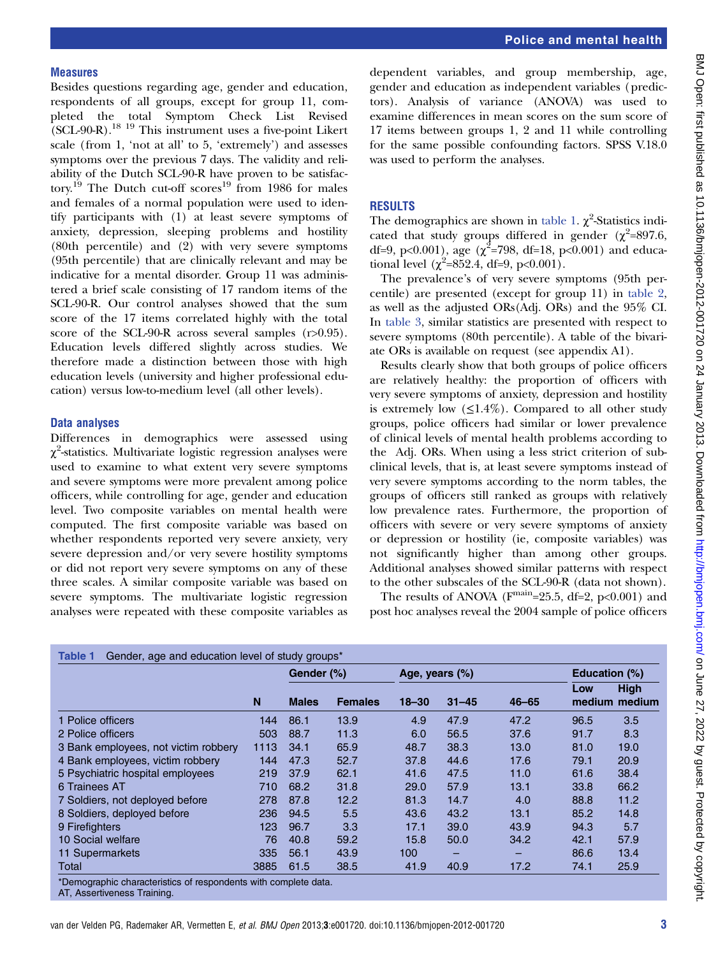## Police and mental health

dependent variables, and group membership, age, gender and education as independent variables (predictors). Analysis of variance (ANOVA) was used to examine differences in mean scores on the sum score of 17 items between groups 1, 2 and 11 while controlling for the same possible confounding factors. SPSS V.18.0 was used to perform the analyses.

#### RESULTS

The demographics are shown in table 1.  $\chi^2$ -Statistics indicated that study groups differed in gender ( $\chi^2$ =897.6, df=9, p<0.001), age ( $\chi^2$ =798, df=18, p<0.001) and educational level  $(\chi^2 = 852.4, df = 9, p < 0.001)$ .

The prevalence's of very severe symptoms (95th percentile) are presented (except for group 11) in table 2, as well as the adjusted ORs(Adj. ORs) and the 95% CI. In table 3, similar statistics are presented with respect to severe symptoms (80th percentile). A table of the bivariate ORs is available on request (see appendix A1).

Results clearly show that both groups of police officers are relatively healthy: the proportion of officers with very severe symptoms of anxiety, depression and hostility is extremely low  $(\leq1.4\%)$ . Compared to all other study groups, police officers had similar or lower prevalence of clinical levels of mental health problems according to the Adj. ORs. When using a less strict criterion of subclinical levels, that is, at least severe symptoms instead of very severe symptoms according to the norm tables, the groups of officers still ranked as groups with relatively low prevalence rates. Furthermore, the proportion of officers with severe or very severe symptoms of anxiety or depression or hostility (ie, composite variables) was not significantly higher than among other groups. Additional analyses showed similar patterns with respect to the other subscales of the SCL-90-R (data not shown).

The results of ANOVA ( $F<sup>main</sup>=25.5$ , df=2, p<0.001) and post hoc analyses reveal the 2004 sample of police officers

|                                      |      | Gender (%)   |                | Age, years $(\%)$ |           | Education (%) |                      |             |
|--------------------------------------|------|--------------|----------------|-------------------|-----------|---------------|----------------------|-------------|
|                                      | N    | <b>Males</b> | <b>Females</b> | $18 - 30$         | $31 - 45$ | $46 - 65$     | Low<br>medium medium | <b>High</b> |
| 1 Police officers                    | 144  | 86.1         | 13.9           | 4.9               | 47.9      | 47.2          | 96.5                 | 3.5         |
| 2 Police officers                    | 503  | 88.7         | 11.3           | 6.0               | 56.5      | 37.6          | 91.7                 | 8.3         |
| 3 Bank employees, not victim robbery | 1113 | 34.1         | 65.9           | 48.7              | 38.3      | 13.0          | 81.0                 | 19.0        |
| 4 Bank employees, victim robbery     | 144  | 47.3         | 52.7           | 37.8              | 44.6      | 17.6          | 79.1                 | 20.9        |
| 5 Psychiatric hospital employees     | 219  | 37.9         | 62.1           | 41.6              | 47.5      | 11.0          | 61.6                 | 38.4        |
| 6 Trainees AT                        | 710  | 68.2         | 31.8           | 29.0              | 57.9      | 13.1          | 33.8                 | 66.2        |
| 7 Soldiers, not deployed before      | 278  | 87.8         | 12.2           | 81.3              | 14.7      | 4.0           | 88.8                 | 11.2        |
| 8 Soldiers, deployed before          | 236  | 94.5         | 5.5            | 43.6              | 43.2      | 13.1          | 85.2                 | 14.8        |
| 9 Firefighters                       | 123  | 96.7         | 3.3            | 17.1              | 39.0      | 43.9          | 94.3                 | 5.7         |
| 10 Social welfare                    | 76   | 40.8         | 59.2           | 15.8              | 50.0      | 34.2          | 42.1                 | 57.9        |
| 11 Supermarkets                      | 335  | 56.1         | 43.9           | 100               |           | -             | 86.6                 | 13.4        |
| Total                                | 3885 | 61.5         | 38.5           | 41.9              | 40.9      | 17.2          | 74.1                 | 25.9        |

AT, Assertiveness Training.

Measures

Data analyses

Besides questions regarding age, gender and education, respondents of all groups, except for group 11, completed the total Symptom Check List Revised  $(SCL-90-R)$ .<sup>18 19</sup> This instrument uses a five-point Likert scale (from 1, 'not at all' to 5, 'extremely') and assesses symptoms over the previous 7 days. The validity and reliability of the Dutch SCL-90-R have proven to be satisfactory.<sup>19</sup> The Dutch cut-off scores<sup>19</sup> from 1986 for males and females of a normal population were used to identify participants with (1) at least severe symptoms of anxiety, depression, sleeping problems and hostility (80th percentile) and (2) with very severe symptoms (95th percentile) that are clinically relevant and may be indicative for a mental disorder. Group 11 was administered a brief scale consisting of 17 random items of the SCL-90-R. Our control analyses showed that the sum score of the 17 items correlated highly with the total score of the SCL-90-R across several samples (r>0.95). Education levels differed slightly across studies. We therefore made a distinction between those with high education levels (university and higher professional education) versus low-to-medium level (all other levels).

Differences in demographics were assessed using χ2 -statistics. Multivariate logistic regression analyses were used to examine to what extent very severe symptoms and severe symptoms were more prevalent among police officers, while controlling for age, gender and education level. Two composite variables on mental health were computed. The first composite variable was based on whether respondents reported very severe anxiety, very severe depression and/or very severe hostility symptoms or did not report very severe symptoms on any of these three scales. A similar composite variable was based on severe symptoms. The multivariate logistic regression analyses were repeated with these composite variables as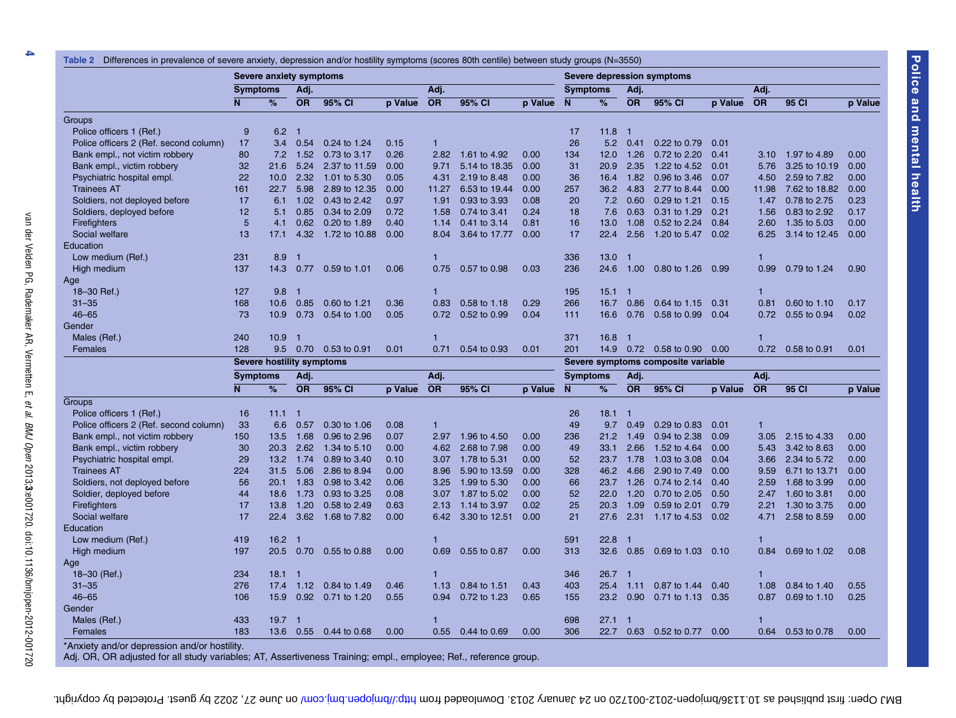van der Velden PG, Rademaker AR, Vermetten E,

et al.

BMJ Open

2013;3:e001720. doi:10.1136/bmjopen-2012-001720

|                 |                                                        |                                                                                         |                                                                              |                                                                                                                                                                                                                      |                                                      |                                                                    |                                                                                                                                            |                                                              |                                                                     | Severe depression symptoms                                                              |                                                                                                                                                                                                                       |                                                                                                                                                   |                                                      |                                                                   |                                                                                                                                   |  |  |
|-----------------|--------------------------------------------------------|-----------------------------------------------------------------------------------------|------------------------------------------------------------------------------|----------------------------------------------------------------------------------------------------------------------------------------------------------------------------------------------------------------------|------------------------------------------------------|--------------------------------------------------------------------|--------------------------------------------------------------------------------------------------------------------------------------------|--------------------------------------------------------------|---------------------------------------------------------------------|-----------------------------------------------------------------------------------------|-----------------------------------------------------------------------------------------------------------------------------------------------------------------------------------------------------------------------|---------------------------------------------------------------------------------------------------------------------------------------------------|------------------------------------------------------|-------------------------------------------------------------------|-----------------------------------------------------------------------------------------------------------------------------------|--|--|
| <b>Symptoms</b> |                                                        | Adj.                                                                                    |                                                                              |                                                                                                                                                                                                                      | Adj.                                                 |                                                                    |                                                                                                                                            | <b>Symptoms</b><br>Adj.                                      |                                                                     |                                                                                         |                                                                                                                                                                                                                       |                                                                                                                                                   |                                                      | Adj.                                                              |                                                                                                                                   |  |  |
| N               | %                                                      | <b>OR</b>                                                                               | 95% CI                                                                       | p Value                                                                                                                                                                                                              | OR                                                   | 95% CI                                                             | p Value                                                                                                                                    | N                                                            | %                                                                   | <b>OR</b>                                                                               | 95% CI                                                                                                                                                                                                                | p Value                                                                                                                                           | <b>OR</b>                                            | 95 CI                                                             | p Value                                                                                                                           |  |  |
|                 |                                                        |                                                                                         |                                                                              |                                                                                                                                                                                                                      |                                                      |                                                                    |                                                                                                                                            |                                                              |                                                                     |                                                                                         |                                                                                                                                                                                                                       |                                                                                                                                                   |                                                      |                                                                   |                                                                                                                                   |  |  |
| 9               | 6.2                                                    | $\overline{1}$                                                                          |                                                                              |                                                                                                                                                                                                                      |                                                      |                                                                    |                                                                                                                                            | 17                                                           | 11.8                                                                | $\vert$ 1                                                                               |                                                                                                                                                                                                                       |                                                                                                                                                   |                                                      |                                                                   |                                                                                                                                   |  |  |
| 17              | 3.4                                                    | 0.54                                                                                    | 0.24 to 1.24                                                                 | 0.15                                                                                                                                                                                                                 | $\mathbf{1}$                                         |                                                                    |                                                                                                                                            | 26                                                           | 5.2                                                                 | 0.41                                                                                    | 0.22 to 0.79                                                                                                                                                                                                          | 0.01                                                                                                                                              |                                                      |                                                                   |                                                                                                                                   |  |  |
| 80              | 7.2                                                    | 1.52                                                                                    | 0.73 to 3.17                                                                 | 0.26                                                                                                                                                                                                                 | 2.82                                                 | 1.61 to 4.92                                                       | 0.00                                                                                                                                       | 134                                                          | 12.0                                                                | 1.26                                                                                    | 0.72 to 2.20                                                                                                                                                                                                          | 0.41                                                                                                                                              | 3.10                                                 | 1.97 to 4.89                                                      | 0.00                                                                                                                              |  |  |
| 32              | 21.6                                                   | 5.24                                                                                    | 2.37 to 11.59                                                                | 0.00                                                                                                                                                                                                                 | 9.71                                                 | 5.14 to 18.35                                                      | 0.00                                                                                                                                       | 31                                                           | 20.9                                                                | 2.35                                                                                    | 1.22 to 4.52                                                                                                                                                                                                          | 0.01                                                                                                                                              | 5.76                                                 | 3.25 to 10.19                                                     | 0.00                                                                                                                              |  |  |
| 22              | 10.0                                                   | 2.32                                                                                    | 1.01 to 5.30                                                                 | 0.05                                                                                                                                                                                                                 | 4.31                                                 | 2.19 to 8.48                                                       | 0.00                                                                                                                                       | 36                                                           | 16.4                                                                | 1.82                                                                                    | 0.96 to 3.46                                                                                                                                                                                                          | 0.07                                                                                                                                              | 4.50                                                 | 2.59 to 7.82                                                      | 0.00                                                                                                                              |  |  |
| 161             | 22.7                                                   | 5.98                                                                                    | 2.89 to 12.35                                                                | 0.00                                                                                                                                                                                                                 | 11.27                                                | 6.53 to 19.44                                                      | 0.00                                                                                                                                       | 257                                                          | 36.2                                                                | 4.83                                                                                    | 2.77 to 8.44                                                                                                                                                                                                          | 0.00                                                                                                                                              | 11.98                                                | 7.62 to 18.82                                                     | 0.00                                                                                                                              |  |  |
| 17              | 6.1                                                    | 1.02                                                                                    | 0.43 to 2.42                                                                 | 0.97                                                                                                                                                                                                                 | 1.91                                                 | 0.93 to 3.93                                                       | 0.08                                                                                                                                       | 20                                                           | 7.2                                                                 | 0.60                                                                                    | 0.29 to 1.21                                                                                                                                                                                                          | 0.15                                                                                                                                              | 1.47                                                 | 0.78 to 2.75                                                      | 0.23                                                                                                                              |  |  |
| 12              | 5.1                                                    | 0.85                                                                                    | 0.34 to 2.09                                                                 | 0.72                                                                                                                                                                                                                 | 1.58                                                 | 0.74 to 3.41                                                       | 0.24                                                                                                                                       | 18                                                           | 7.6                                                                 | 0.63                                                                                    | 0.31 to 1.29                                                                                                                                                                                                          | 0.21                                                                                                                                              | 1.56                                                 | 0.83 to 2.92                                                      | 0.17                                                                                                                              |  |  |
| 5               | 4.1                                                    | 0.62                                                                                    | 0.20 to 1.89                                                                 | 0.40                                                                                                                                                                                                                 | 1.14                                                 | 0.41 to 3.14                                                       | 0.81                                                                                                                                       | 16                                                           | 13.0                                                                | 1.08                                                                                    | 0.52 to 2.24                                                                                                                                                                                                          | 0.84                                                                                                                                              | 2.60                                                 | 1.35 to 5.03                                                      | 0.00                                                                                                                              |  |  |
| 13              | 17.1                                                   | 4.32                                                                                    | 1.72 to 10.88                                                                | 0.00                                                                                                                                                                                                                 | 8.04                                                 | 3.64 to 17.77                                                      | 0.00                                                                                                                                       | 17                                                           | 22.4                                                                | 2.56                                                                                    | 1.20 to 5.47                                                                                                                                                                                                          | 0.02                                                                                                                                              | 6.25                                                 | 3.14 to 12.45                                                     | 0.00                                                                                                                              |  |  |
|                 |                                                        |                                                                                         |                                                                              |                                                                                                                                                                                                                      |                                                      |                                                                    |                                                                                                                                            |                                                              |                                                                     |                                                                                         |                                                                                                                                                                                                                       |                                                                                                                                                   |                                                      |                                                                   |                                                                                                                                   |  |  |
| 231             | 8.9                                                    | -1                                                                                      |                                                                              |                                                                                                                                                                                                                      | 1                                                    |                                                                    |                                                                                                                                            | 336                                                          | 13.0                                                                | -1                                                                                      |                                                                                                                                                                                                                       |                                                                                                                                                   | $\mathbf{1}$                                         |                                                                   |                                                                                                                                   |  |  |
| 137             | 14.3                                                   |                                                                                         |                                                                              | 0.06                                                                                                                                                                                                                 |                                                      |                                                                    | 0.03                                                                                                                                       | 236                                                          | 24.6                                                                | 1.00                                                                                    |                                                                                                                                                                                                                       | 0.99                                                                                                                                              | 0.99                                                 | 0.79 to 1.24                                                      | 0.90                                                                                                                              |  |  |
|                 |                                                        |                                                                                         |                                                                              |                                                                                                                                                                                                                      |                                                      |                                                                    |                                                                                                                                            |                                                              |                                                                     |                                                                                         |                                                                                                                                                                                                                       |                                                                                                                                                   |                                                      |                                                                   |                                                                                                                                   |  |  |
| 127             | 9.8                                                    | $\overline{1}$                                                                          |                                                                              |                                                                                                                                                                                                                      | 1                                                    |                                                                    |                                                                                                                                            | 195                                                          | 15.1                                                                | -1                                                                                      |                                                                                                                                                                                                                       |                                                                                                                                                   | $\mathbf{1}$                                         |                                                                   |                                                                                                                                   |  |  |
| 168             | 10.6                                                   | 0.85                                                                                    | 0.60 to 1.21                                                                 | 0.36                                                                                                                                                                                                                 | 0.83                                                 | 0.58 to 1.18                                                       | 0.29                                                                                                                                       | 266                                                          | 16.7                                                                | 0.86                                                                                    | 0.64 to 1.15                                                                                                                                                                                                          | 0.31                                                                                                                                              | 0.81                                                 | $0.60 \text{ to } 1.10$                                           | 0.17                                                                                                                              |  |  |
| 73              | 10.9                                                   | 0.73                                                                                    | 0.54 to 1.00                                                                 | 0.05                                                                                                                                                                                                                 | 0.72                                                 | 0.52 to 0.99                                                       | 0.04                                                                                                                                       | 111                                                          | 16.6                                                                | 0.76                                                                                    | 0.58 to 0.99                                                                                                                                                                                                          | 0.04                                                                                                                                              | 0.72                                                 | 0.55 to 0.94                                                      | 0.02                                                                                                                              |  |  |
|                 |                                                        |                                                                                         |                                                                              |                                                                                                                                                                                                                      |                                                      |                                                                    |                                                                                                                                            |                                                              |                                                                     |                                                                                         |                                                                                                                                                                                                                       |                                                                                                                                                   |                                                      |                                                                   |                                                                                                                                   |  |  |
| 240             | 10.9                                                   | -1                                                                                      |                                                                              |                                                                                                                                                                                                                      | 1                                                    |                                                                    |                                                                                                                                            | 371                                                          | 16.8                                                                | -1                                                                                      |                                                                                                                                                                                                                       |                                                                                                                                                   | 1                                                    |                                                                   |                                                                                                                                   |  |  |
| 128             | 9.5                                                    |                                                                                         |                                                                              | 0.01                                                                                                                                                                                                                 | 0.71                                                 | 0.54 to 0.93                                                       | 0.01                                                                                                                                       | 201                                                          | 14.9                                                                |                                                                                         |                                                                                                                                                                                                                       | 0.00                                                                                                                                              | 0.72                                                 | 0.58 to 0.91                                                      | 0.01                                                                                                                              |  |  |
|                 |                                                        |                                                                                         |                                                                              |                                                                                                                                                                                                                      |                                                      |                                                                    |                                                                                                                                            | Severe symptoms composite variable                           |                                                                     |                                                                                         |                                                                                                                                                                                                                       |                                                                                                                                                   |                                                      |                                                                   |                                                                                                                                   |  |  |
|                 |                                                        | Adj.                                                                                    |                                                                              |                                                                                                                                                                                                                      | Adj.                                                 |                                                                    |                                                                                                                                            |                                                              |                                                                     | Adj.                                                                                    |                                                                                                                                                                                                                       |                                                                                                                                                   | Adj.                                                 |                                                                   |                                                                                                                                   |  |  |
| N               | %                                                      | <b>OR</b>                                                                               | 95% CI                                                                       | p Value                                                                                                                                                                                                              | <b>OR</b>                                            | 95% CI                                                             | p Value                                                                                                                                    | N                                                            | %                                                                   | <b>OR</b>                                                                               | 95% CI                                                                                                                                                                                                                | p Value                                                                                                                                           | <b>OR</b>                                            | 95 CI                                                             | p Value                                                                                                                           |  |  |
|                 |                                                        |                                                                                         |                                                                              |                                                                                                                                                                                                                      |                                                      |                                                                    |                                                                                                                                            |                                                              |                                                                     |                                                                                         |                                                                                                                                                                                                                       |                                                                                                                                                   |                                                      |                                                                   |                                                                                                                                   |  |  |
| 16              | 11.1                                                   | $\overline{1}$                                                                          |                                                                              |                                                                                                                                                                                                                      |                                                      |                                                                    |                                                                                                                                            | 26                                                           | 18.1                                                                | $\mathbf{1}$                                                                            |                                                                                                                                                                                                                       |                                                                                                                                                   |                                                      |                                                                   |                                                                                                                                   |  |  |
| 33              | 6.6                                                    | 0.57                                                                                    | 0.30 to 1.06                                                                 | 0.08                                                                                                                                                                                                                 | $\mathbf{1}$                                         |                                                                    |                                                                                                                                            | 49                                                           | 9.7                                                                 | 0.49                                                                                    | 0.29 to 0.83                                                                                                                                                                                                          | 0.01                                                                                                                                              | $\mathbf{1}$                                         |                                                                   |                                                                                                                                   |  |  |
| 150             | 13.5                                                   | 1.68                                                                                    | 0.96 to 2.96                                                                 | 0.07                                                                                                                                                                                                                 |                                                      | 1.96 to 4.50                                                       | 0.00                                                                                                                                       |                                                              | 21.2                                                                | 1.49                                                                                    | 0.94 to 2.38                                                                                                                                                                                                          | 0.09                                                                                                                                              |                                                      |                                                                   | 0.00                                                                                                                              |  |  |
| 30              | 20.3                                                   | 2.62                                                                                    | 1.34 to 5.10                                                                 | 0.00                                                                                                                                                                                                                 | 4.62                                                 | 2.68 to 7.98                                                       |                                                                                                                                            |                                                              | 33.1                                                                | 2.66                                                                                    | 1.52 to 4.64                                                                                                                                                                                                          | 0.00                                                                                                                                              | 5.43                                                 | 3.42 to 8.63                                                      | 0.00                                                                                                                              |  |  |
|                 |                                                        |                                                                                         |                                                                              |                                                                                                                                                                                                                      |                                                      |                                                                    |                                                                                                                                            |                                                              |                                                                     |                                                                                         |                                                                                                                                                                                                                       |                                                                                                                                                   |                                                      |                                                                   | 0.00                                                                                                                              |  |  |
| 224             | 31.5                                                   | 5.06                                                                                    | 2.86 to 8.94                                                                 | 0.00                                                                                                                                                                                                                 | 8.96                                                 | 5.90 to 13.59                                                      | 0.00                                                                                                                                       | 328                                                          | 46.2                                                                | 4.66                                                                                    | 2.90 to 7.49                                                                                                                                                                                                          | 0.00                                                                                                                                              | 9.59                                                 | 6.71 to 13.71                                                     | 0.00                                                                                                                              |  |  |
|                 |                                                        |                                                                                         |                                                                              |                                                                                                                                                                                                                      | 3.25                                                 |                                                                    |                                                                                                                                            |                                                              |                                                                     |                                                                                         |                                                                                                                                                                                                                       |                                                                                                                                                   | 2.59                                                 |                                                                   | 0.00                                                                                                                              |  |  |
|                 |                                                        |                                                                                         |                                                                              |                                                                                                                                                                                                                      |                                                      |                                                                    |                                                                                                                                            |                                                              |                                                                     |                                                                                         |                                                                                                                                                                                                                       |                                                                                                                                                   |                                                      |                                                                   | 0.00                                                                                                                              |  |  |
|                 |                                                        |                                                                                         |                                                                              |                                                                                                                                                                                                                      |                                                      |                                                                    |                                                                                                                                            |                                                              |                                                                     |                                                                                         |                                                                                                                                                                                                                       |                                                                                                                                                   |                                                      |                                                                   | 0.00                                                                                                                              |  |  |
|                 |                                                        |                                                                                         |                                                                              |                                                                                                                                                                                                                      |                                                      |                                                                    |                                                                                                                                            |                                                              |                                                                     |                                                                                         |                                                                                                                                                                                                                       |                                                                                                                                                   |                                                      |                                                                   | 0.00                                                                                                                              |  |  |
|                 |                                                        |                                                                                         |                                                                              |                                                                                                                                                                                                                      |                                                      |                                                                    |                                                                                                                                            |                                                              |                                                                     |                                                                                         |                                                                                                                                                                                                                       |                                                                                                                                                   |                                                      |                                                                   |                                                                                                                                   |  |  |
|                 |                                                        |                                                                                         |                                                                              |                                                                                                                                                                                                                      |                                                      |                                                                    |                                                                                                                                            |                                                              |                                                                     |                                                                                         |                                                                                                                                                                                                                       |                                                                                                                                                   |                                                      |                                                                   |                                                                                                                                   |  |  |
|                 |                                                        |                                                                                         |                                                                              |                                                                                                                                                                                                                      |                                                      |                                                                    |                                                                                                                                            |                                                              |                                                                     |                                                                                         |                                                                                                                                                                                                                       |                                                                                                                                                   |                                                      |                                                                   | 0.08                                                                                                                              |  |  |
|                 |                                                        |                                                                                         |                                                                              |                                                                                                                                                                                                                      |                                                      |                                                                    |                                                                                                                                            |                                                              |                                                                     |                                                                                         |                                                                                                                                                                                                                       |                                                                                                                                                   |                                                      |                                                                   |                                                                                                                                   |  |  |
|                 |                                                        |                                                                                         |                                                                              |                                                                                                                                                                                                                      |                                                      |                                                                    |                                                                                                                                            |                                                              |                                                                     |                                                                                         |                                                                                                                                                                                                                       |                                                                                                                                                   |                                                      |                                                                   |                                                                                                                                   |  |  |
|                 |                                                        |                                                                                         |                                                                              |                                                                                                                                                                                                                      |                                                      |                                                                    |                                                                                                                                            |                                                              |                                                                     |                                                                                         |                                                                                                                                                                                                                       |                                                                                                                                                   |                                                      |                                                                   | 0.55                                                                                                                              |  |  |
|                 |                                                        | 0.92                                                                                    | 0.71 to 1.20                                                                 | 0.55                                                                                                                                                                                                                 | 0.94                                                 | 0.72 to 1.23                                                       | 0.65                                                                                                                                       | 155                                                          | 23.2                                                                | 0.90                                                                                    | 0.71 to 1.13                                                                                                                                                                                                          | 0.35                                                                                                                                              | 0.87                                                 | 0.69 to 1.10                                                      | 0.25                                                                                                                              |  |  |
| 106             | 15.9                                                   |                                                                                         |                                                                              |                                                                                                                                                                                                                      |                                                      |                                                                    |                                                                                                                                            |                                                              |                                                                     |                                                                                         |                                                                                                                                                                                                                       |                                                                                                                                                   |                                                      |                                                                   |                                                                                                                                   |  |  |
|                 |                                                        |                                                                                         |                                                                              |                                                                                                                                                                                                                      |                                                      |                                                                    |                                                                                                                                            |                                                              |                                                                     |                                                                                         |                                                                                                                                                                                                                       |                                                                                                                                                   |                                                      |                                                                   |                                                                                                                                   |  |  |
| 433<br>183      | 19.7<br>13.6                                           | $\overline{1}$<br>0.55                                                                  | 0.44 to 0.68                                                                 | 0.00                                                                                                                                                                                                                 | 1                                                    | $0.55$ $0.44$ to $0.69$                                            | 0.00                                                                                                                                       | 698<br>306                                                   | 27.1<br>22.7                                                        | -1                                                                                      | $0.63$ $0.52$ to $0.77$                                                                                                                                                                                               | 0.00                                                                                                                                              | 1                                                    | 0.64 0.53 to 0.78                                                 | 0.00                                                                                                                              |  |  |
|                 | 29<br>56<br>44<br>17<br>17<br>419<br>197<br>234<br>276 | <b>Symptoms</b><br>13.2<br>20.1<br>18.6<br>13.8<br>22.4<br>16.2<br>20.5<br>18.1<br>17.4 | 1.74<br>1.83<br>1.73<br>1.20<br>3.62<br>$\overline{1}$<br>0.70<br>-1<br>1.12 | Severe anxiety symptoms<br>0.77 0.59 to 1.01<br>$0.70$ $0.53$ to $0.91$<br>Severe hostility symptoms<br>0.89 to 3.40<br>0.98 to 3.42<br>0.93 to 3.25<br>0.58 to 2.49<br>1.68 to 7.82<br>0.55 to 0.88<br>0.84 to 1.49 | 0.10<br>0.06<br>0.08<br>0.63<br>0.00<br>0.00<br>0.46 | 3.07<br>3.07<br>2.13<br>6.42<br>$\mathbf{1}$<br>0.69<br>-1<br>1.13 | 0.75 0.57 to 0.98<br>2.97<br>1.78 to 5.31<br>1.99 to 5.30<br>1.87 to 5.02<br>1.14 to 3.97<br>3.30 to 12.51<br>0.55 to 0.87<br>0.84 to 1.51 | 0.00<br>0.00<br>0.00<br>0.00<br>0.02<br>0.00<br>0.00<br>0.43 | 236<br>49<br>52<br>66<br>52<br>25<br>21<br>591<br>313<br>346<br>403 | <b>Symptoms</b><br>23.7<br>23.7<br>22.0<br>20.3<br>27.6<br>22.8<br>32.6<br>26.7<br>25.4 | Differences in prevalence of severe anxiety, depression and/or hostility symptoms (scores 80th centile) between study groups (N=3550)<br>1.78<br>1.26<br>1.20<br>1.09<br>2.31<br>$\overline{1}$<br>0.85<br>-1<br>1.11 | 0.80 to 1.26<br>0.72 0.58 to 0.90<br>1.03 to 3.08<br>0.74 to 2.14<br>0.70 to 2.05<br>0.59 to 2.01<br>1.17 to 4.53<br>0.69 to 1.03<br>0.87 to 1.44 | 0.04<br>0.40<br>0.50<br>0.79<br>0.02<br>0.10<br>0.40 | 3.66<br>2.47<br>2.21<br>4.71<br>1<br>0.84<br>$\mathbf{1}$<br>1.08 | 3.05 2.15 to 4.33<br>2.34 to 5.72<br>1.68 to 3.99<br>1.60 to 3.81<br>1.30 to 3.75<br>2.58 to 8.59<br>0.69 to 1.02<br>0.84 to 1.40 |  |  |

\*Anxiety and/or depression and/or hostility.

Adj. OR, OR adjusted for all study variables; AT, Assertiveness Training; empl., employee; Ref., reference group.

BMJ Open: first published as 10.11369/pm/oper-2012/bm/or 24 January 2013. Downloaden. Protected by copyright. Here as 10.012100-2100-2100-2102-upppiplished by copyright.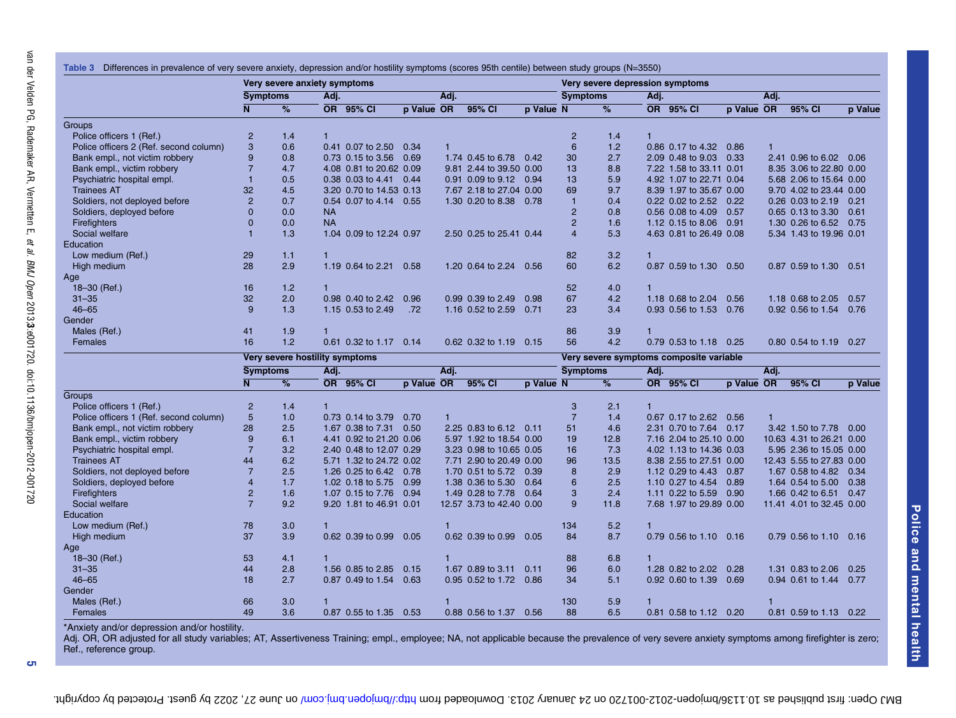|                                        |                         | Very severe anxiety symptoms   |              |                         |            |              |                          |           | Very severe depression symptoms |                                         |              |                         |            |                |                          |         |
|----------------------------------------|-------------------------|--------------------------------|--------------|-------------------------|------------|--------------|--------------------------|-----------|---------------------------------|-----------------------------------------|--------------|-------------------------|------------|----------------|--------------------------|---------|
|                                        | <b>Symptoms</b>         |                                | Adj.         |                         |            | Adj.         |                          |           | <b>Symptoms</b>                 |                                         | Adj.         |                         |            | Adj.           |                          |         |
|                                        | $\overline{\mathsf{N}}$ | %                              |              | OR 95% CI               | p Value OR |              | 95% CI                   | p Value N |                                 | %                                       |              | OR 95% CI               | p Value OR |                | 95% CI                   | p Value |
| Groups                                 |                         |                                |              |                         |            |              |                          |           |                                 |                                         |              |                         |            |                |                          |         |
| Police officers 1 (Ref.)               | $\overline{2}$          | 1.4                            | $\mathbf{1}$ |                         |            |              |                          |           | $\overline{2}$                  | 1.4                                     | 1            |                         |            |                |                          |         |
| Police officers 2 (Ref. second column) | 3                       | 0.6                            |              | 0.41 0.07 to 2.50 0.34  |            |              |                          |           | $6\phantom{1}6$                 | 1.2                                     |              | 0.86 0.17 to 4.32       | 0.86       | $\mathbf{1}$   |                          |         |
| Bank empl., not victim robbery         | 9                       | 0.8                            |              | 0.73 0.15 to 3.56 0.69  |            |              | 1.74 0.45 to 6.78 0.42   |           | 30                              | 2.7                                     |              | 2.09 0.48 to 9.03       | 0.33       |                | 2.41 0.96 to 6.02 0.06   |         |
| Bank empl., victim robbery             | $\overline{7}$          | 4.7                            |              | 4.08 0.81 to 20.62 0.09 |            |              | 9.81 2.44 to 39.50 0.00  |           | 13                              | 8.8                                     |              | 7.22 1.58 to 33.11 0.01 |            |                | 8.35 3.06 to 22.80 0.00  |         |
| Psychiatric hospital empl.             | $\mathbf{1}$            | 0.5                            |              | 0.38 0.03 to 4.41 0.44  |            |              | 0.91 0.09 to 9.12 0.94   |           | 13                              | 5.9                                     |              | 4.92 1.07 to 22.71 0.04 |            |                | 5.68 2.06 to 15.64 0.00  |         |
| <b>Trainees AT</b>                     | 32                      | 4.5                            |              | 3.20 0.70 to 14.53 0.13 |            |              | 7.67 2.18 to 27.04 0.00  |           | 69                              | 9.7                                     |              | 8.39 1.97 to 35.67 0.00 |            |                | 9.70 4.02 to 23.44 0.00  |         |
| Soldiers, not deployed before          | $\overline{2}$          | 0.7                            |              | 0.54 0.07 to 4.14 0.55  |            |              | 1.30 0.20 to 8.38 0.78   |           | $\mathbf{1}$                    | 0.4                                     |              | 0.22 0.02 to 2.52 0.22  |            |                | 0.26 0.03 to 2.19 0.21   |         |
| Soldiers, deployed before              | $\Omega$                | 0.0                            | <b>NA</b>    |                         |            |              |                          |           | $\overline{2}$                  | 0.8                                     |              | 0.56 0.08 to 4.09       | 0.57       |                | $0.65$ 0.13 to 3.30 0.61 |         |
| <b>Firefighters</b>                    | $\Omega$                | 0.0                            | <b>NA</b>    |                         |            |              |                          |           | $\overline{2}$                  | 1.6                                     |              | 1.12 0.15 to 8.06       | 0.91       |                | 1.30 0.26 to 6.52 0.75   |         |
| Social welfare                         | 1                       | 1.3                            |              | 1.04 0.09 to 12.24 0.97 |            |              | 2.50 0.25 to 25.41 0.44  |           | $\overline{4}$                  | 5.3                                     |              | 4.63 0.81 to 26.49 0.08 |            |                | 5.34 1.43 to 19.96 0.01  |         |
| Education                              |                         |                                |              |                         |            |              |                          |           |                                 |                                         |              |                         |            |                |                          |         |
| Low medium (Ref.)                      | 29                      | 1.1                            | $\mathbf{1}$ |                         |            |              |                          |           | 82                              | 3.2                                     | 1            |                         |            |                |                          |         |
| High medium                            | 28                      | 2.9                            |              | 1.19 0.64 to 2.21       | 0.58       |              | 1.20 0.64 to 2.24        | 0.56      | 60                              | 6.2                                     |              | 0.87 0.59 to 1.30       | 0.50       |                | 0.87 0.59 to 1.30 0.51   |         |
| Age                                    |                         |                                |              |                         |            |              |                          |           |                                 |                                         |              |                         |            |                |                          |         |
| 18-30 (Ref.)                           | 16                      | 1.2                            | $\mathbf{1}$ |                         |            |              |                          |           | 52                              | 4.0                                     | $\mathbf{1}$ |                         |            |                |                          |         |
| $31 - 35$                              | 32                      | 2.0                            |              | 0.98 0.40 to 2.42       | 0.96       |              | 0.99 0.39 to 2.49        | 0.98      | 67                              | 4.2                                     |              | 1.18 0.68 to 2.04       | 0.56       |                | 1.18 0.68 to 2.05        | 0.57    |
| $46 - 65$                              | 9                       | 1.3                            |              | 1.15 0.53 to 2.49       | .72        |              | 1.16 0.52 to 2.59 0.71   |           | 23                              | 3.4                                     |              | 0.93 0.56 to 1.53       | 0.76       |                | 0.92 0.56 to 1.54 0.76   |         |
| Gender                                 |                         |                                |              |                         |            |              |                          |           |                                 |                                         |              |                         |            |                |                          |         |
| Males (Ref.)                           | 41                      | 1.9                            | $\mathbf{1}$ |                         |            |              |                          |           | 86                              | 3.9                                     | 1            |                         |            |                |                          |         |
| Females                                | 16                      | 1.2                            |              | 0.61 0.32 to 1.17 0.14  |            |              | 0.62 0.32 to 1.19 0.15   |           | 56                              | 4.2                                     |              | 0.79 0.53 to 1.18       | 0.25       |                | 0.80 0.54 to 1.19 0.27   |         |
|                                        |                         |                                |              |                         |            |              |                          |           |                                 |                                         |              |                         |            |                |                          |         |
|                                        |                         | Very severe hostility symptoms |              |                         |            |              |                          |           |                                 | Very severe symptoms composite variable |              |                         |            |                |                          |         |
|                                        | <b>Symptoms</b>         |                                | Adj.         |                         |            | Adj.         |                          |           | <b>Symptoms</b>                 |                                         | Adj.         |                         |            | Adj.           |                          |         |
|                                        | N                       | %                              |              | OR 95% CI               | p Value OR |              | 95% CI                   | p Value N |                                 | %                                       |              | OR 95% CI               | p Value OR |                | 95% CI                   | p Value |
| Groups                                 |                         |                                |              |                         |            |              |                          |           |                                 |                                         |              |                         |            |                |                          |         |
| Police officers 1 (Ref.)               | $\overline{2}$          | 1.4                            | $\mathbf{1}$ |                         |            |              |                          |           | 3                               | 2.1                                     | 1            |                         |            |                |                          |         |
| Police officers 1 (Ref. second column) | 5                       | 1.0                            |              | 0.73 0.14 to 3.79       | 0.70       | 1            |                          |           | $\overline{7}$                  | 1.4                                     |              | 0.67 0.17 to 2.62 0.56  |            | $\mathbf{1}$   |                          |         |
| Bank empl., not victim robbery         | 28                      | 2.5                            |              | 1.67 0.38 to 7.31       | 0.50       |              | 2.25 0.83 to 6.12 0.11   |           | 51                              | 4.6                                     |              | 2.31 0.70 to 7.64 0.17  |            |                | 3.42 1.50 to 7.78 0.00   |         |
| Bank empl., victim robbery             | 9                       | 6.1                            |              | 4.41 0.92 to 21.20 0.06 |            |              | 5.97 1.92 to 18.54 0.00  |           | 19                              | 12.8                                    |              | 7.16 2.04 to 25.10 0.00 |            |                | 10.63 4.31 to 26.21 0.00 |         |
| Psychiatric hospital empl.             | $\overline{7}$          | 3.2                            |              | 2.40 0.48 to 12.07 0.29 |            |              | 3.23 0.98 to 10.65 0.05  |           | 16                              | 7.3                                     |              | 4.02 1.13 to 14.36 0.03 |            |                | 5.95 2.36 to 15.05 0.00  |         |
| <b>Trainees AT</b>                     | 44                      | 6.2                            |              | 5.71 1.32 to 24.72 0.02 |            |              | 7.71 2.90 to 20.49 0.00  |           | 96                              | 13.5                                    |              | 8.38 2.55 to 27.51 0.00 |            |                | 12.43 5.55 to 27.83 0.00 |         |
| Soldiers, not deployed before          | $\overline{7}$          | 2.5                            |              | 1.26 0.25 to 6.42 0.78  |            |              | 1.70 0.51 to 5.72 0.39   |           | 8                               | 2.9                                     |              | 1.12 0.29 to 4.43       | 0.87       |                | 1.67 0.58 to 4.82 0.34   |         |
| Soldiers, deployed before              | $\overline{4}$          | 1.7                            |              | 1.02 0.18 to 5.75 0.99  |            |              | 1.38 0.36 to 5.30 0.64   |           | 6                               | 2.5                                     |              | 1.10 0.27 to 4.54 0.89  |            |                | 1.64 0.54 to 5.00 0.38   |         |
| <b>Firefighters</b>                    | $\overline{2}$          | 1.6                            |              | 1.07 0.15 to 7.76 0.94  |            |              | 1.49 0.28 to 7.78 0.64   |           | 3                               | 2.4                                     |              | 1.11 0.22 to 5.59       | 0.90       |                | 1.66 0.42 to 6.51 0.47   |         |
| Social welfare                         | $\overline{7}$          | 9.2                            |              | 9.20 1.81 to 46.91 0.01 |            |              | 12.57 3.73 to 42.40 0.00 |           | 9                               | 11.8                                    |              | 7.68 1.97 to 29.89 0.00 |            |                | 11.41 4.01 to 32.45 0.00 |         |
| Education                              |                         |                                |              |                         |            |              |                          |           |                                 |                                         |              |                         |            |                |                          |         |
| Low medium (Ref.)                      | 78                      | 3.0                            | $\mathbf{1}$ |                         |            | 1            |                          |           | 134                             | 5.2                                     | 1            |                         |            |                |                          |         |
| High medium                            | 37                      | 3.9                            |              | 0.62 0.39 to 0.99       | 0.05       |              | 0.62 0.39 to 0.99        | 0.05      | 84                              | 8.7                                     |              | 0.79 0.56 to 1.10       | 0.16       |                | 0.79 0.56 to 1.10 0.16   |         |
| Age                                    |                         |                                |              |                         |            |              |                          |           |                                 |                                         |              |                         |            |                |                          |         |
| 18-30 (Ref.)                           | 53                      | 4.1                            | $\mathbf{1}$ |                         |            | $\mathbf{1}$ |                          |           | 88                              | 6.8                                     | $\mathbf{1}$ |                         |            |                |                          |         |
| $31 - 35$                              | 44                      | 2.8                            |              | 1.56 0.85 to 2.85       | 0.15       |              | 1.67 0.89 to 3.11        | 0.11      | 96                              | 6.0                                     |              | 1.28 0.82 to 2.02       | 0.28       |                | 1.31 0.83 to 2.06        | 0.25    |
| $46 - 65$                              | 18                      | 2.7                            |              | 0.87 0.49 to 1.54 0.63  |            |              | 0.95 0.52 to 1.72 0.86   |           | 34                              | 5.1                                     |              | 0.92 0.60 to 1.39       | 0.69       |                | 0.94 0.61 to 1.44 0.77   |         |
| Gender                                 |                         |                                |              |                         |            |              |                          |           |                                 |                                         |              |                         |            |                |                          |         |
| Males (Ref.)                           | 66                      | 3.0                            | $\mathbf{1}$ |                         |            | 1            |                          |           | 130                             | 5.9                                     | 1            |                         |            | $\overline{1}$ |                          |         |
| Females                                | 49                      | 3.6                            |              | 0.87 0.55 to 1.35 0.53  |            |              | 0.88 0.56 to 1.37        | 0.56      | 88                              | 6.5                                     |              | 0.81 0.58 to 1.12 0.20  |            |                | 0.81 0.59 to 1.13 0.22   |         |

\*Anxiety and/or depression and/or hostility.

Adj. OR, OR adjusted for all study variables; AT, Assertiveness Training; empl., employee; NA, not applicable because the prevalence of very severe anxiety symptoms among firefighter is zero; Ref., reference group.

BMJ Open: first published as 10.1136/bm 2012/00-2120 on 24 Jaunel. Protection Deprotect Published as 10.0122 by guest. Protected by copyright.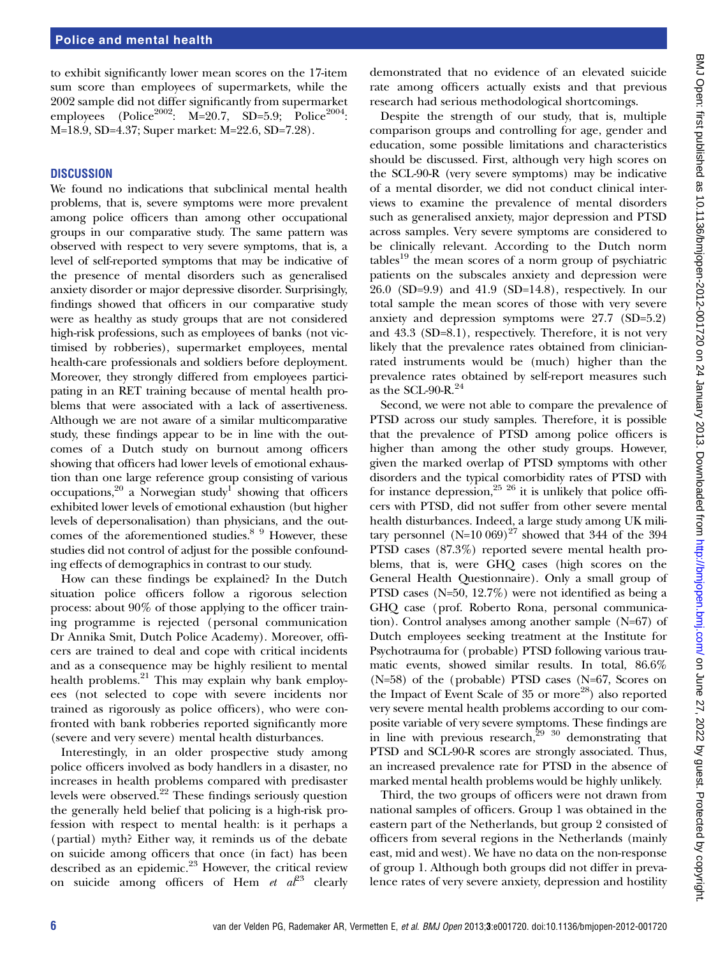to exhibit significantly lower mean scores on the 17-item sum score than employees of supermarkets, while the 2002 sample did not differ significantly from supermarket employees (Police<sup>2002</sup>: M=20.7, SD=5.9; Police<sup>2004</sup>: M=18.9, SD=4.37; Super market: M=22.6, SD=7.28).

## **DISCUSSION**

We found no indications that subclinical mental health problems, that is, severe symptoms were more prevalent among police officers than among other occupational groups in our comparative study. The same pattern was observed with respect to very severe symptoms, that is, a level of self-reported symptoms that may be indicative of the presence of mental disorders such as generalised anxiety disorder or major depressive disorder. Surprisingly, findings showed that officers in our comparative study were as healthy as study groups that are not considered high-risk professions, such as employees of banks (not victimised by robberies), supermarket employees, mental health-care professionals and soldiers before deployment. Moreover, they strongly differed from employees participating in an RET training because of mental health problems that were associated with a lack of assertiveness. Although we are not aware of a similar multicomparative study, these findings appear to be in line with the outcomes of a Dutch study on burnout among officers showing that officers had lower levels of emotional exhaustion than one large reference group consisting of various occupations,<sup>20</sup> a Norwegian study<sup>1</sup> showing that officers exhibited lower levels of emotional exhaustion (but higher levels of depersonalisation) than physicians, and the outcomes of the aforementioned studies.<sup>8 9</sup> However, these studies did not control of adjust for the possible confounding effects of demographics in contrast to our study.

How can these findings be explained? In the Dutch situation police officers follow a rigorous selection process: about 90% of those applying to the officer training programme is rejected (personal communication Dr Annika Smit, Dutch Police Academy). Moreover, officers are trained to deal and cope with critical incidents and as a consequence may be highly resilient to mental health problems.<sup>21</sup> This may explain why bank employees (not selected to cope with severe incidents nor trained as rigorously as police officers), who were confronted with bank robberies reported significantly more (severe and very severe) mental health disturbances.

Interestingly, in an older prospective study among police officers involved as body handlers in a disaster, no increases in health problems compared with predisaster levels were observed.<sup>22</sup> These findings seriously question the generally held belief that policing is a high-risk profession with respect to mental health: is it perhaps a (partial) myth? Either way, it reminds us of the debate on suicide among officers that once (in fact) has been described as an epidemic. $23$  However, the critical review on suicide among officers of Hem et  $a^{23}$  clearly

demonstrated that no evidence of an elevated suicide rate among officers actually exists and that previous research had serious methodological shortcomings.

Despite the strength of our study, that is, multiple comparison groups and controlling for age, gender and education, some possible limitations and characteristics should be discussed. First, although very high scores on the SCL-90-R (very severe symptoms) may be indicative of a mental disorder, we did not conduct clinical interviews to examine the prevalence of mental disorders such as generalised anxiety, major depression and PTSD across samples. Very severe symptoms are considered to be clinically relevant. According to the Dutch norm tables<sup>19</sup> the mean scores of a norm group of psychiatric patients on the subscales anxiety and depression were 26.0 (SD=9.9) and 41.9 (SD=14.8), respectively. In our total sample the mean scores of those with very severe anxiety and depression symptoms were 27.7 (SD=5.2) and 43.3 (SD=8.1), respectively. Therefore, it is not very likely that the prevalence rates obtained from clinicianrated instruments would be (much) higher than the prevalence rates obtained by self-report measures such as the SCL-90-R. $^{24}$ 

Second, we were not able to compare the prevalence of PTSD across our study samples. Therefore, it is possible that the prevalence of PTSD among police officers is higher than among the other study groups. However, given the marked overlap of PTSD symptoms with other disorders and the typical comorbidity rates of PTSD with for instance depression, $25 \times 26$  it is unlikely that police officers with PTSD, did not suffer from other severe mental health disturbances. Indeed, a large study among UK military personnel  $(N=10069)^{27}$  showed that 344 of the 394 PTSD cases (87.3%) reported severe mental health problems, that is, were GHQ cases (high scores on the General Health Questionnaire). Only a small group of PTSD cases (N=50, 12.7%) were not identified as being a GHQ case (prof. Roberto Rona, personal communication). Control analyses among another sample (N=67) of Dutch employees seeking treatment at the Institute for Psychotrauma for (probable) PTSD following various traumatic events, showed similar results. In total, 86.6% (N=58) of the (probable) PTSD cases (N=67, Scores on the Impact of Event Scale of 35 or more<sup>28</sup>) also reported very severe mental health problems according to our composite variable of very severe symptoms. These findings are in line with previous research, $29^{30}$  demonstrating that PTSD and SCL-90-R scores are strongly associated. Thus, an increased prevalence rate for PTSD in the absence of marked mental health problems would be highly unlikely.

Third, the two groups of officers were not drawn from national samples of officers. Group 1 was obtained in the eastern part of the Netherlands, but group 2 consisted of officers from several regions in the Netherlands (mainly east, mid and west). We have no data on the non-response of group 1. Although both groups did not differ in prevalence rates of very severe anxiety, depression and hostility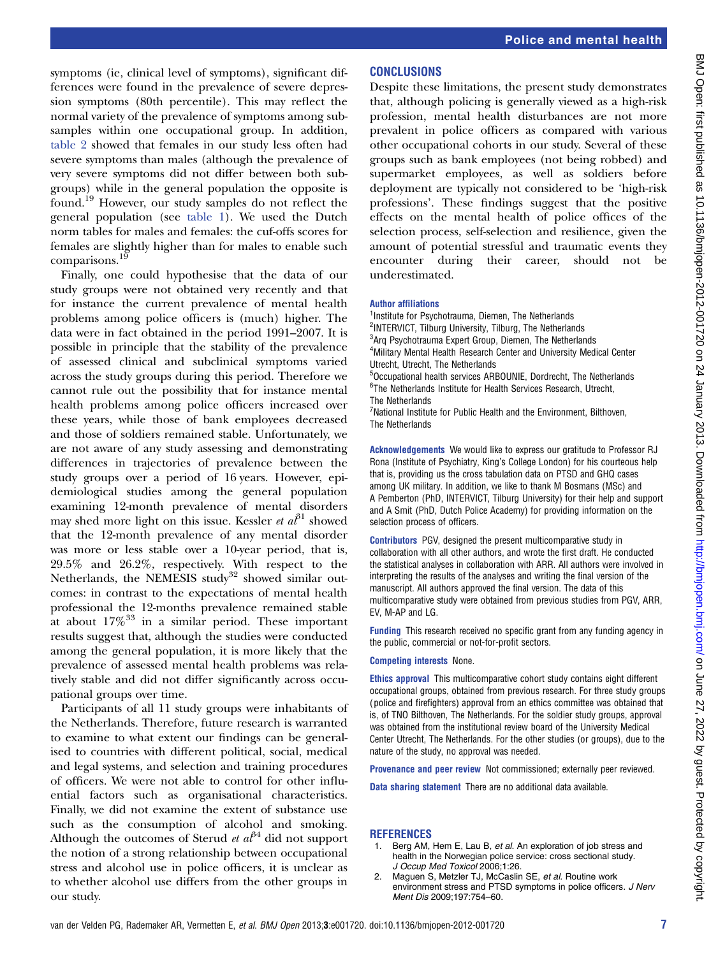symptoms (ie, clinical level of symptoms), significant differences were found in the prevalence of severe depression symptoms (80th percentile). This may reflect the normal variety of the prevalence of symptoms among subsamples within one occupational group. In addition, table 2 showed that females in our study less often had severe symptoms than males (although the prevalence of very severe symptoms did not differ between both subgroups) while in the general population the opposite is found.<sup>19</sup> However, our study samples do not reflect the general population (see table 1). We used the Dutch norm tables for males and females: the cuf-offs scores for females are slightly higher than for males to enable such comparisons.<sup>19</sup>

Finally, one could hypothesise that the data of our study groups were not obtained very recently and that for instance the current prevalence of mental health problems among police officers is (much) higher. The data were in fact obtained in the period 1991–2007. It is possible in principle that the stability of the prevalence of assessed clinical and subclinical symptoms varied across the study groups during this period. Therefore we cannot rule out the possibility that for instance mental health problems among police officers increased over these years, while those of bank employees decreased and those of soldiers remained stable. Unfortunately, we are not aware of any study assessing and demonstrating differences in trajectories of prevalence between the study groups over a period of 16 years. However, epidemiological studies among the general population examining 12-month prevalence of mental disorders may shed more light on this issue. Kessler et  $a^{\beta}$ <sup>1</sup> showed that the 12-month prevalence of any mental disorder was more or less stable over a 10-year period, that is, 29.5% and 26.2%, respectively. With respect to the Netherlands, the NEMESIS study<sup>32</sup> showed similar outcomes: in contrast to the expectations of mental health professional the 12-months prevalence remained stable at about  $17\%$ <sup>33</sup> in a similar period. These important results suggest that, although the studies were conducted among the general population, it is more likely that the prevalence of assessed mental health problems was relatively stable and did not differ significantly across occupational groups over time.

Participants of all 11 study groups were inhabitants of the Netherlands. Therefore, future research is warranted to examine to what extent our findings can be generalised to countries with different political, social, medical and legal systems, and selection and training procedures of officers. We were not able to control for other influential factors such as organisational characteristics. Finally, we did not examine the extent of substance use such as the consumption of alcohol and smoking. Although the outcomes of Sterud et  $a\tilde{b}^4$  did not support the notion of a strong relationship between occupational stress and alcohol use in police officers, it is unclear as to whether alcohol use differs from the other groups in our study.

# CONCLUSIONS

Despite these limitations, the present study demonstrates that, although policing is generally viewed as a high-risk profession, mental health disturbances are not more prevalent in police officers as compared with various other occupational cohorts in our study. Several of these groups such as bank employees (not being robbed) and supermarket employees, as well as soldiers before deployment are typically not considered to be 'high-risk professions'. These findings suggest that the positive effects on the mental health of police offices of the selection process, self-selection and resilience, given the amount of potential stressful and traumatic events they encounter during their career, should not be underestimated.

#### Author affiliations

<sup>1</sup> Institute for Psychotrauma, Diemen, The Netherlands <sup>2</sup>INTERVICT, Tilburg University, Tilburg, The Netherlands <sup>3</sup>Arq Psychotrauma Expert Group, Diemen, The Netherlands 4 Military Mental Health Research Center and University Medical Center Utrecht, Utrecht, The Netherlands 5 Occupational health services ARBOUNIE, Dordrecht, The Netherlands <sup>6</sup>The Netherlands Institute for Health Services Research, Utrecht,

The Netherlands

<sup>7</sup>National Institute for Public Health and the Environment, Bilthoven, The Netherlands

Acknowledgements We would like to express our gratitude to Professor RJ Rona (Institute of Psychiatry, King's College London) for his courteous help that is, providing us the cross tabulation data on PTSD and GHQ cases among UK military. In addition, we like to thank M Bosmans (MSc) and A Pemberton (PhD, INTERVICT, Tilburg University) for their help and support and A Smit (PhD, Dutch Police Academy) for providing information on the selection process of officers.

Contributors PGV, designed the present multicomparative study in collaboration with all other authors, and wrote the first draft. He conducted the statistical analyses in collaboration with ARR. All authors were involved in interpreting the results of the analyses and writing the final version of the manuscript. All authors approved the final version. The data of this multicomparative study were obtained from previous studies from PGV, ARR, EV, M-AP and LG.

Funding This research received no specific grant from any funding agency in the public, commercial or not-for-profit sectors.

## Competing interests None.

Ethics approval This multicomparative cohort study contains eight different occupational groups, obtained from previous research. For three study groups ( police and firefighters) approval from an ethics committee was obtained that is, of TNO Bilthoven, The Netherlands. For the soldier study groups, approval was obtained from the institutional review board of the University Medical Center Utrecht, The Netherlands. For the other studies (or groups), due to the nature of the study, no approval was needed.

Provenance and peer review Not commissioned; externally peer reviewed.

Data sharing statement There are no additional data available.

## **REFERENCES**

- Berg AM, Hem E, Lau B, et al. An exploration of job stress and health in the Norwegian police service: cross sectional study. J Occup Med Toxicol 2006;1:26.
- 2. Maguen S, Metzler TJ, McCaslin SE, et al. Routine work environment stress and PTSD symptoms in police officers. J Nerv Ment Dis 2009;197:754–60.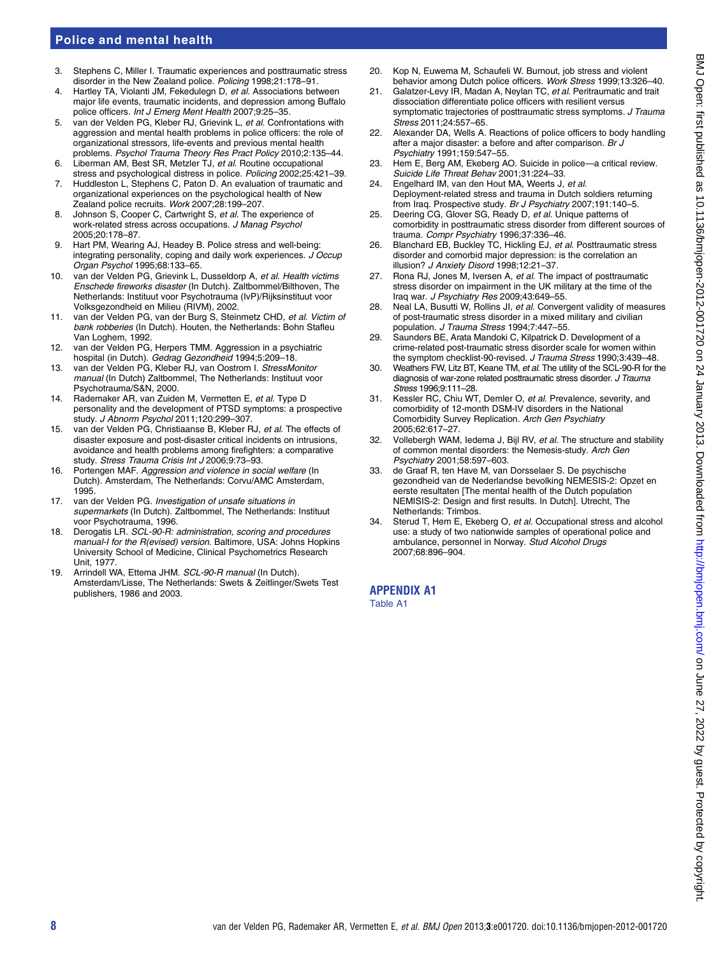# Police and mental health

- 3. Stephens C, Miller I. Traumatic experiences and posttraumatic stress disorder in the New Zealand police. Policing 1998;21:178–91.
- 4. Hartley TA, Violanti JM, Fekedulegn D, et al. Associations between major life events, traumatic incidents, and depression among Buffalo police officers. Int J Emerg Ment Health 2007;9:25–35.
- 5. van der Velden PG, Kleber RJ, Grievink L, et al. Confrontations with aggression and mental health problems in police officers: the role of organizational stressors, life-events and previous mental health problems. Psychol Trauma Theory Res Pract Policy 2010;2:135-
- 6. Liberman AM, Best SR, Metzler TJ, et al. Routine occupational stress and psychological distress in police. Policing 2002;25:421–39.
- 7. Huddleston L, Stephens C, Paton D. An evaluation of traumatic and organizational experiences on the psychological health of New Zealand police recruits. Work 2007;28:199–207.
- 8. Johnson S, Cooper C, Cartwright S, et al. The experience of work-related stress across occupations. J Manag Psychol 2005;20:178–87.
- 9. Hart PM, Wearing AJ, Headey B. Police stress and well-being: integrating personality, coping and daily work experiences. J Occup Organ Psychol 1995;68:133–65.
- 10. van der Velden PG, Grievink L, Dusseldorp A, et al. Health victims Enschede fireworks disaster (In Dutch). Zaltbommel/Bilthoven, The Netherlands: Instituut voor Psychotrauma (IvP)/Rijksinstituut voor Volksgezondheid en Milieu (RIVM), 2002.
- 11. van der Velden PG, van der Burg S, Steinmetz CHD, et al. Victim of bank robberies (In Dutch). Houten, the Netherlands: Bohn Stafleu Van Loghem, 1992.
- 12. van der Velden PG, Herpers TMM. Aggression in a psychiatric hospital (in Dutch). Gedrag Gezondheid 1994;5:209-18.
- 13. van der Velden PG, Kleber RJ, van Oostrom I. StressMonitor manual (In Dutch) Zaltbommel, The Netherlands: Instituut voor Psychotrauma/S&N, 2000.
- 14. Rademaker AR, van Zuiden M, Vermetten E, et al. Type D personality and the development of PTSD symptoms: a prospective study. J Abnorm Psychol 2011;120:299–307.
- 15. van der Velden PG, Christiaanse B, Kleber RJ, et al. The effects of disaster exposure and post-disaster critical incidents on intrusions, avoidance and health problems among firefighters: a comparative study. Stress Trauma Crisis Int J 2006;9:73–93.
- 16. Portengen MAF. Aggression and violence in social welfare (In Dutch). Amsterdam, The Netherlands: Corvu/AMC Amsterdam, 1995.
- 17. van der Velden PG. Investigation of unsafe situations in supermarkets (In Dutch). Zaltbommel, The Netherlands: Instituut voor Psychotrauma, 1996.
- 18. Derogatis LR. SCL-90-R: administration, scoring and procedures manual-I for the R(evised) version. Baltimore, USA: Johns Hopkins University School of Medicine, Clinical Psychometrics Research Unit, 1977.
- 19. Arrindell WA, Ettema JHM. SCL-90-R manual (In Dutch). Amsterdam/Lisse, The Netherlands: Swets & Zeitlinger/Swets Test publishers, 1986 and 2003.
- 20. Kop N, Euwema M, Schaufeli W. Burnout, job stress and violent behavior among Dutch police officers. Work Stress 1999;13:326–40.
- 21. Galatzer-Levy IR, Madan A, Neylan TC, et al. Peritraumatic and trait dissociation differentiate police officers with resilient versus symptomatic trajectories of posttraumatic stress symptoms. J Trauma Stress 2011;24:557–65.
- 22. Alexander DA, Wells A. Reactions of police officers to body handling after a major disaster: a before and after comparison. Br J Psychiatry 1991;159:547–55.
- 23. Hem E, Berg AM, Ekeberg AO. Suicide in police—a critical review. Suicide Life Threat Behav 2001;31:224–33.
- 24. Engelhard IM, van den Hout MA, Weerts J, et al. Deployment-related stress and trauma in Dutch soldiers returning from Iraq. Prospective study. Br J Psychiatry 2007;191:140–5.
- 25. Deering CG, Glover SG, Ready D, et al. Unique patterns of comorbidity in posttraumatic stress disorder from different sources of trauma. Compr Psychiatry 1996;37:336–46.
- 26. Blanchard EB, Buckley TC, Hickling EJ, et al. Posttraumatic stress disorder and comorbid major depression: is the correlation an illusion? J Anxiety Disord 1998;12:21–37.
- 27. Rona RJ, Jones M, Iversen A, et al. The impact of posttraumatic stress disorder on impairment in the UK military at the time of the Iraq war. J Psychiatry Res 2009;43:649-55.
- 28. Neal LA, Busutti W, Rollins JI, et al. Convergent validity of measures of post-traumatic stress disorder in a mixed military and civilian population. J Trauma Stress 1994;7:447-55.
- 29. Saunders BE, Arata Mandoki C, Kilpatrick D. Development of a crime-related post-traumatic stress disorder scale for women within the symptom checklist-90-revised. J Trauma Stress 1990;3:439–48.
- 30. Weathers FW, Litz BT, Keane TM, et al. The utility of the SCL-90-R for the diagnosis of war-zone related posttraumatic stress disorder. J Trauma Stress 1996;9:111–28.
- 31. Kessler RC, Chiu WT, Demler O, et al. Prevalence, severity, and comorbidity of 12-month DSM-IV disorders in the National Comorbidity Survey Replication. Arch Gen Psychiatry 2005;62:617–27.
- 32. Vollebergh WAM, Iedema J, Bijl RV, et al. The structure and stability of common mental disorders: the Nemesis-study. Arch Gen Psychiatry 2001;58:597–603.
- 33. de Graaf R, ten Have M, van Dorsselaer S. De psychische gezondheid van de Nederlandse bevolking NEMESIS-2: Opzet en eerste resultaten [The mental health of the Dutch population NEMISIS-2: Design and first results. In Dutch]. Utrecht, The Netherlands: Trimbos.
- 34. Sterud T, Hem E, Ekeberg O, et al. Occupational stress and alcohol use: a study of two nationwide samples of operational police and ambulance, personnel in Norway. Stud Alcohol Drugs 2007;68:896–904.

## APPENDIX A1

Table A1